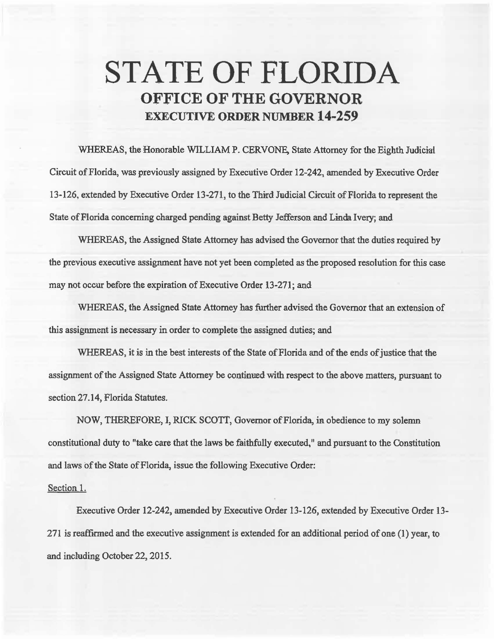## STATE OF FLORIDA OFFICE OF THE GOVERNOR EXECUTIVE ORDER NUMBER 14-259

WHEREAS, the Honorable WlLLIAM P. CERVONE, State Attorney for the Eighth Judicial Circuit of Florida, was previously assigned by Executive Order 12-242, amended by Executive Order 13-126, extended by Executive Order 13-271, to the Third Judicial Circuit of Florida to represent the State of Florida concerning charged pending against Betty Jefferson and Linda Ivery; and

WHEREAS, the Assigned State Attorney has advised the Governor that the duties required by the previous executive assignment have not yet been completed as the proposed resolution for this case may not occur before the expiration of Executive Order 13-271; and

WHEREAS, the Assigned State Attorney has further advised the Governor that an extension of this assignment is necessary in order to complete the assigned duties; and

WHEREAS, it is in the best interests of the State of Florida and of the ends of justice that the assignment of the Assigned State Attorney be contimied with respect to the above matters, pursuant to section 27.14, Florida Statutes.

NOW, THEREFORE, I, RICK SCOTT, Governor of Florida, in obedience to my solemn constitutional duty to "take care that the laws be faithfully executed," and pursuant to the Constitution and laws of the State of Florida, issue the following Executive Order:

## Section 1.

Executive Order 12-242, amended by Executive Order 13-126, extended by Executive Order 13- 271 is reaffirmed and the executive assignment is extended for an additional period of one (1) year, to and inoluding October 22, 2015.